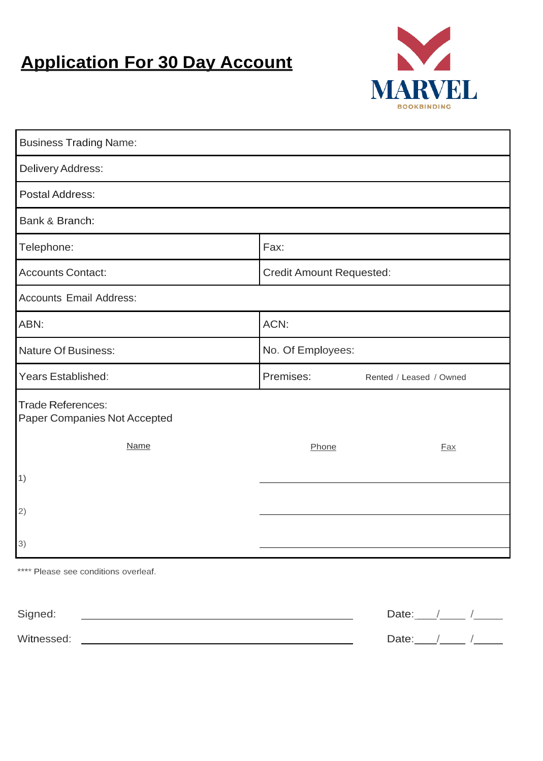## **Application For 30 Day Account**



| <b>Business Trading Name:</b>                            |                                 |                         |  |  |
|----------------------------------------------------------|---------------------------------|-------------------------|--|--|
| Delivery Address:                                        |                                 |                         |  |  |
| <b>Postal Address:</b>                                   |                                 |                         |  |  |
| Bank & Branch:                                           |                                 |                         |  |  |
| Telephone:                                               | Fax:                            |                         |  |  |
| <b>Accounts Contact:</b>                                 | <b>Credit Amount Requested:</b> |                         |  |  |
| <b>Accounts Email Address:</b>                           |                                 |                         |  |  |
| ABN:                                                     | ACN:                            |                         |  |  |
| <b>Nature Of Business:</b>                               | No. Of Employees:               |                         |  |  |
| Years Established:                                       | Premises:                       | Rented / Leased / Owned |  |  |
| <b>Trade References:</b><br>Paper Companies Not Accepted |                                 |                         |  |  |
| <b>Name</b>                                              | Phone                           | <b>Fax</b>              |  |  |
| (1)                                                      |                                 |                         |  |  |
| 2)                                                       |                                 |                         |  |  |
|                                                          |                                 |                         |  |  |
| 3)                                                       |                                 |                         |  |  |

\*\*\*\* Please see conditions overleaf.

| Signed:    | Date: |  |
|------------|-------|--|
| Witnessed: | Date: |  |